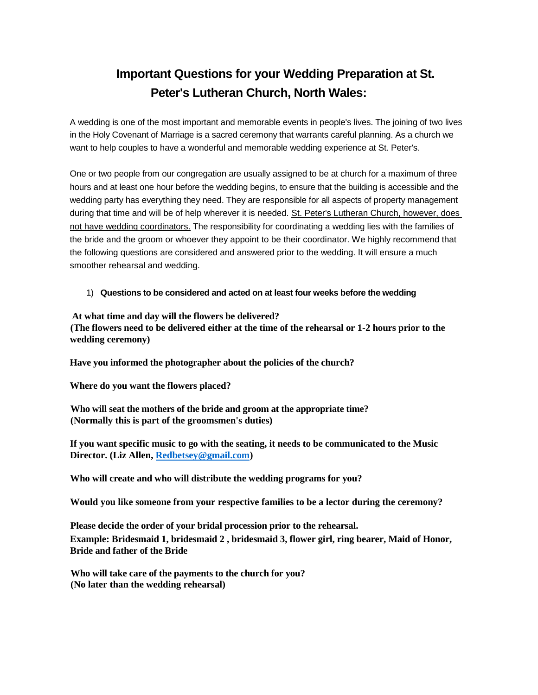## **Important Questions for your Wedding Preparation at St. Peter's Lutheran Church, North Wales:**

A wedding is one of the most important and memorable events in people's lives. The joining of two lives in the Holy Covenant of Marriage is a sacred ceremony that warrants careful planning. As a church we want to help couples to have a wonderful and memorable wedding experience at St. Peter's.

One or two people from our congregation are usually assigned to be at church for a maximum of three hours and at least one hour before the wedding begins, to ensure that the building is accessible and the wedding party has everything they need. They are responsible for all aspects of property management during that time and will be of help wherever it is needed. St. Peter's Lutheran Church, however, does not have wedding coordinators. The responsibility for coordinating a wedding lies with the families of the bride and the groom or whoever they appoint to be their coordinator. We highly recommend that the following questions are considered and answered prior to the wedding. It will ensure a much smoother rehearsal and wedding.

## 1) **Questions to be considered and acted on at least four weeks before the wedding**

**At what time and day will the flowers be delivered? (The flowers need to be delivered either at the time of the rehearsal or 1-2 hours prior to the wedding ceremony)**

**Have you informed the photographer about the policies of the church?**

**Where do you want the flowers placed?**

**Who will seat the mothers of the bride and groom at the appropriate time? (Normally this is part of the groomsmen's duties)**

**If you want specific music to go with the seating, it needs to be communicated to the Music Director. (Liz Allen, Redbetsey@gmail.com)**

**Who will create and who will distribute the wedding programs for you?**

**Would you like someone from your respective families to be a lector during the ceremony?**

**Please decide the order of your bridal procession prior to the rehearsal. Example: Bridesmaid 1, bridesmaid 2 , bridesmaid 3, flower girl, ring bearer, Maid of Honor, Bride and father of the Bride**

**Who will take care of the payments to the church for you? (No later than the wedding rehearsal)**